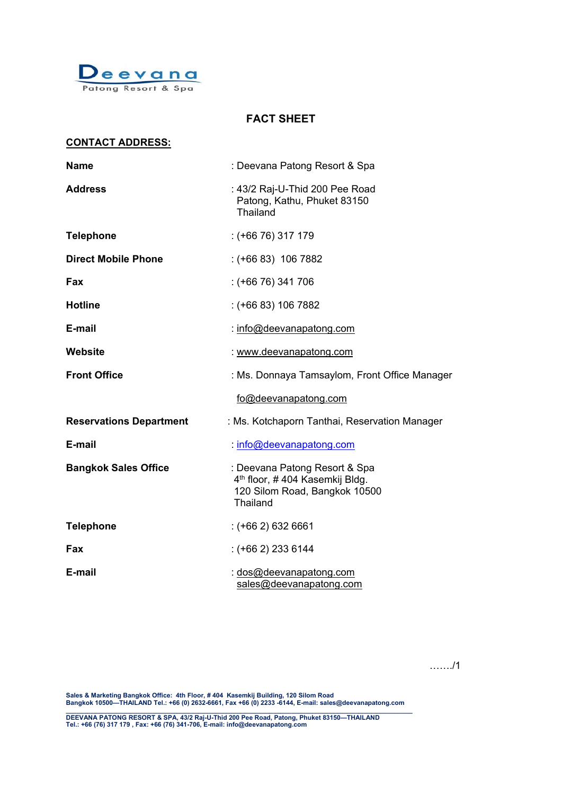

# **FACT SHEET**

### **CONTACT ADDRESS:**

| <b>Name</b>                    | : Deevana Patong Resort & Spa                                                                                            |  |  |  |
|--------------------------------|--------------------------------------------------------------------------------------------------------------------------|--|--|--|
| <b>Address</b>                 | : 43/2 Raj-U-Thid 200 Pee Road<br>Patong, Kathu, Phuket 83150<br>Thailand                                                |  |  |  |
| <b>Telephone</b>               | $:$ (+66 76) 317 179                                                                                                     |  |  |  |
| <b>Direct Mobile Phone</b>     | $: (+6683)$ 106 7882                                                                                                     |  |  |  |
| Fax                            | $: (+6676)$ 341 706                                                                                                      |  |  |  |
| <b>Hotline</b>                 | $: (+6683) 1067882$                                                                                                      |  |  |  |
| E-mail                         | : info@deevanapatong.com                                                                                                 |  |  |  |
| Website                        | : www.deevanapatong.com                                                                                                  |  |  |  |
| <b>Front Office</b>            | : Ms. Donnaya Tamsaylom, Front Office Manager                                                                            |  |  |  |
|                                | fo@deevanapatong.com                                                                                                     |  |  |  |
| <b>Reservations Department</b> | : Ms. Kotchaporn Tanthai, Reservation Manager                                                                            |  |  |  |
| E-mail                         | : info@deevanapatong.com                                                                                                 |  |  |  |
| <b>Bangkok Sales Office</b>    | : Deevana Patong Resort & Spa<br>4 <sup>th</sup> floor, #404 Kasemkij Bldg.<br>120 Silom Road, Bangkok 10500<br>Thailand |  |  |  |
| <b>Telephone</b>               | $:(+662)$ 632 6661                                                                                                       |  |  |  |
| Fax                            | $:(+662)$ 233 6144                                                                                                       |  |  |  |
| E-mail                         | : dos@deevanapatong.com<br>sales@deevanapatong.com                                                                       |  |  |  |

……./1

**Sales & Marketing Bangkok Office: 4th Floor, # 404 Kasemkij Building, 120 Silom Road Bangkok 10500—THAILAND Tel.: +66 (0) 2632-6661, Fax +66 (0) 2233 -6144, E-mail: sales@deevanapatong.com**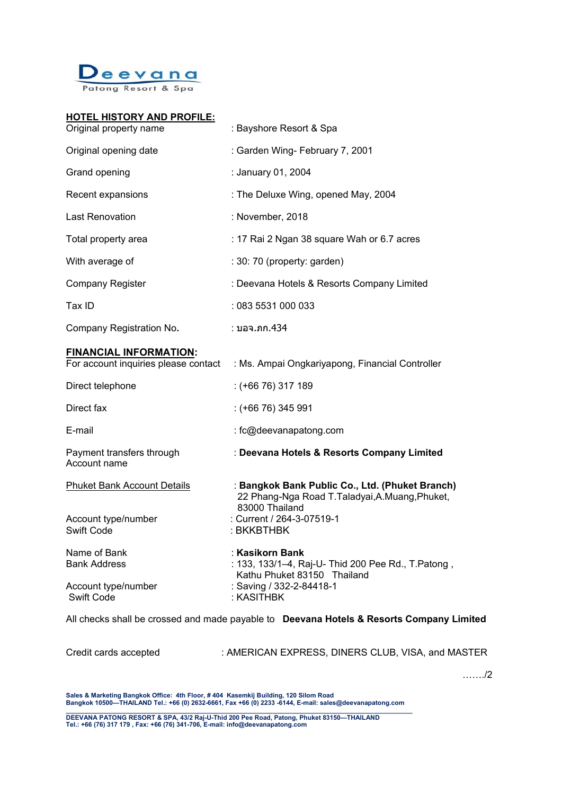

#### **HOTEL HISTORY AND PROFILE:**

| Original property name                                                | : Bayshore Resort & Spa                                                                                             |
|-----------------------------------------------------------------------|---------------------------------------------------------------------------------------------------------------------|
| Original opening date                                                 | : Garden Wing- February 7, 2001                                                                                     |
| Grand opening                                                         | : January 01, 2004                                                                                                  |
| Recent expansions                                                     | : The Deluxe Wing, opened May, 2004                                                                                 |
| <b>Last Renovation</b>                                                | : November, 2018                                                                                                    |
| Total property area                                                   | : 17 Rai 2 Ngan 38 square Wah or 6.7 acres                                                                          |
| With average of                                                       | : 30: 70 (property: garden)                                                                                         |
| <b>Company Register</b>                                               | : Deevana Hotels & Resorts Company Limited                                                                          |
| Tax ID                                                                | : 083 5531 000 033                                                                                                  |
| Company Registration No.                                              | : บอจ.ภก.434                                                                                                        |
| <b>FINANCIAL INFORMATION:</b><br>For account inquiries please contact | : Ms. Ampai Ongkariyapong, Financial Controller                                                                     |
| Direct telephone                                                      | $:$ (+66 76) 317 189                                                                                                |
| Direct fax                                                            | $:$ (+66 76) 345 991                                                                                                |
| E-mail                                                                | : fc@deevanapatong.com                                                                                              |
| Payment transfers through<br>Account name                             | : Deevana Hotels & Resorts Company Limited                                                                          |
| <b>Phuket Bank Account Details</b>                                    | : Bangkok Bank Public Co., Ltd. (Phuket Branch)<br>22 Phang-Nga Road T.Taladyai, A.Muang, Phuket,<br>83000 Thailand |
| Account type/number<br>Swift Code                                     | : Current / 264-3-07519-1<br>: BKKBTHBK                                                                             |
| Name of Bank<br><b>Bank Address</b>                                   | : Kasikorn Bank<br>: 133, 133/1-4, Raj-U- Thid 200 Pee Rd., T. Patong,<br>Kathu Phuket 83150 Thailand               |
| Account type/number<br><b>Swift Code</b>                              | : Saving / 332-2-84418-1<br>: KASITHBK                                                                              |

All checks shall be crossed and made payable to **Deevana Hotels & Resorts Company Limited** 

Credit cards accepted : AMERICAN EXPRESS, DINERS CLUB, VISA, and MASTER

……./2

**Sales & Marketing Bangkok Office: 4th Floor, # 404 Kasemkij Building, 120 Silom Road Bangkok 10500—THAILAND Tel.: +66 (0) 2632-6661, Fax +66 (0) 2233 -6144, E-mail: sales@deevanapatong.com**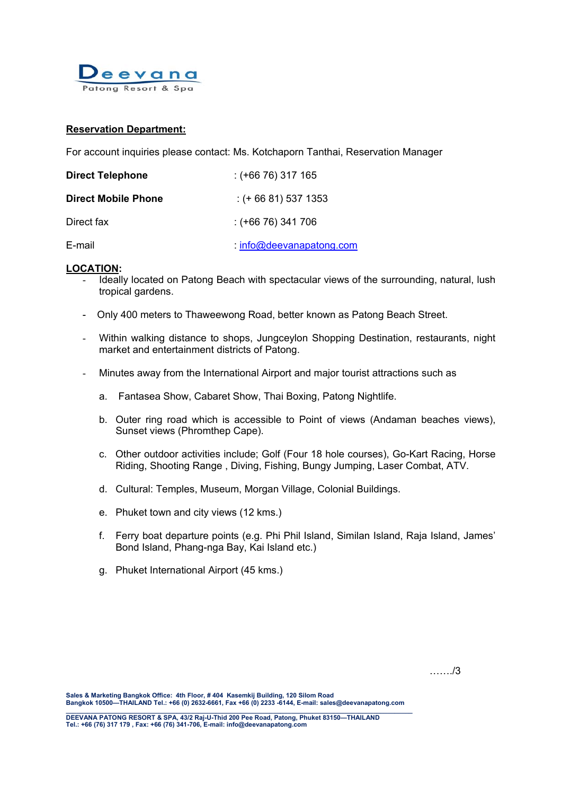

# **Reservation Department:**

For account inquiries please contact: Ms. Kotchaporn Tanthai, Reservation Manager

| <b>Direct Telephone</b>    | : (+66 76) 317 165              |
|----------------------------|---------------------------------|
| <b>Direct Mobile Phone</b> | $:$ (+ 66 81) 537 1353          |
| Direct fax                 | : (+66 76) 341 706              |
| E-mail                     | <u>: info@deevanapatong.com</u> |

# **LOCATION:**

- Ideally located on Patong Beach with spectacular views of the surrounding, natural, lush tropical gardens.
- Only 400 meters to Thaweewong Road, better known as Patong Beach Street.
- Within walking distance to shops, Jungceylon Shopping Destination, restaurants, night market and entertainment districts of Patong.
- Minutes away from the International Airport and major tourist attractions such as
	- a. Fantasea Show, Cabaret Show, Thai Boxing, Patong Nightlife.
	- b. Outer ring road which is accessible to Point of views (Andaman beaches views), Sunset views (Phromthep Cape).
	- c. Other outdoor activities include; Golf (Four 18 hole courses), Go-Kart Racing, Horse Riding, Shooting Range , Diving, Fishing, Bungy Jumping, Laser Combat, ATV.
	- d. Cultural: Temples, Museum, Morgan Village, Colonial Buildings.
	- e. Phuket town and city views (12 kms.)
	- f. Ferry boat departure points (e.g. Phi Phil Island, Similan Island, Raja Island, James' Bond Island, Phang-nga Bay, Kai Island etc.)
	- g. Phuket International Airport (45 kms.)

……./3

**Sales & Marketing Bangkok Office: 4th Floor, # 404 Kasemkij Building, 120 Silom Road Bangkok 10500—THAILAND Tel.: +66 (0) 2632-6661, Fax +66 (0) 2233 -6144, E-mail: sales@deevanapatong.com**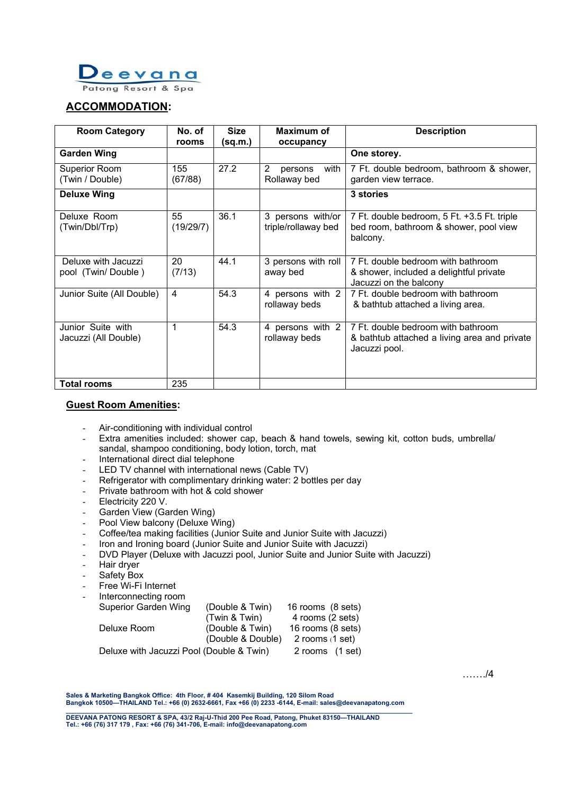

# **ACCOMMODATION:**

| <b>Room Category</b>                      | No. of          | <b>Size</b> | <b>Maximum of</b>                                 | <b>Description</b>                                                                                      |
|-------------------------------------------|-----------------|-------------|---------------------------------------------------|---------------------------------------------------------------------------------------------------------|
|                                           | rooms           | (sq.m.)     | occupancy                                         |                                                                                                         |
| <b>Garden Wing</b>                        |                 |             |                                                   | One storey.                                                                                             |
| Superior Room<br>(Twin / Double)          | 155<br>(67/88)  | 27.2        | $\overline{2}$<br>with<br>persons<br>Rollaway bed | 7 Ft. double bedroom, bathroom & shower,<br>garden view terrace.                                        |
| <b>Deluxe Wing</b>                        |                 |             |                                                   | 3 stories                                                                                               |
| Deluxe Room<br>(Twin/Dbl/Trp)             | 55<br>(19/29/7) | 36.1        | 3 persons with/or<br>triple/rollaway bed          | 7 Ft. double bedroom, 5 Ft. +3.5 Ft. triple<br>bed room, bathroom & shower, pool view<br>balcony.       |
| Deluxe with Jacuzzi<br>pool (Twin/Double) | 20<br>(7/13)    | 44.1        | 3 persons with roll<br>away bed                   | 7 Ft. double bedroom with bathroom<br>& shower, included a delightful private<br>Jacuzzi on the balcony |
| Junior Suite (All Double)                 | $\overline{4}$  | 54.3        | 4 persons with 2<br>rollaway beds                 | 7 Ft. double bedroom with bathroom<br>& bathtub attached a living area.                                 |
| Junior Suite with<br>Jacuzzi (All Double) | 1               | 54.3        | 4 persons with 2<br>rollaway beds                 | 7 Ft. double bedroom with bathroom<br>& bathtub attached a living area and private<br>Jacuzzi pool.     |
| <b>Total rooms</b>                        | 235             |             |                                                   |                                                                                                         |

# **Guest Room Amenities:**

- Air-conditioning with individual control
- Extra amenities included: shower cap, beach & hand towels, sewing kit, cotton buds, umbrella/ sandal, shampoo conditioning, body lotion, torch, mat
- International direct dial telephone
- LED TV channel with international news (Cable TV)
- Refrigerator with complimentary drinking water: 2 bottles per day
- Private bathroom with hot & cold shower
- Electricity 220 V.
- Garden View (Garden Wing)
- Pool View balcony (Deluxe Wing)
- Coffee/tea making facilities (Junior Suite and Junior Suite with Jacuzzi)
- Iron and Ironing board (Junior Suite and Junior Suite with Jacuzzi)
- DVD Player (Deluxe with Jacuzzi pool, Junior Suite and Junior Suite with Jacuzzi)
- Hair dryer
- Safety Box
- Free Wi-Fi Internet
- Interconnecting room

| <b>Superior Garden Wing</b>              | (Double & Twin)   | 16 rooms (8 sets) |
|------------------------------------------|-------------------|-------------------|
|                                          | (Twin & Twin)     | 4 rooms (2 sets)  |
| Deluxe Room                              | (Double & Twin)   | 16 rooms (8 sets) |
|                                          | (Double & Double) | 2 rooms $(1 set)$ |
| Deluxe with Jacuzzi Pool (Double & Twin) |                   | 2 rooms (1 set)   |

……./4

**Sales & Marketing Bangkok Office: 4th Floor, # 404 Kasemkij Building, 120 Silom Road Bangkok 10500—THAILAND Tel.: +66 (0) 2632-6661, Fax +66 (0) 2233 -6144, E-mail: sales@deevanapatong.com**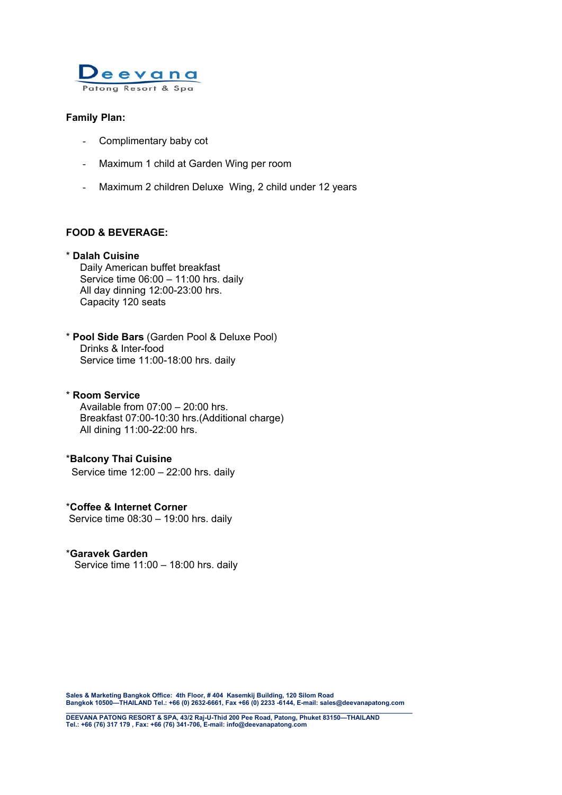

# **Family Plan:**

- Complimentary baby cot
- Maximum 1 child at Garden Wing per room
- Maximum 2 children Deluxe Wing, 2 child under 12 years

# **FOOD & BEVERAGE:**

#### \* **Dalah Cuisine**

 Daily American buffet breakfast Service time 06:00 – 11:00 hrs. daily All day dinning 12:00-23:00 hrs. Capacity 120 seats

\* **Pool Side Bars** (Garden Pool & Deluxe Pool) Drinks & Inter-food Service time 11:00-18:00 hrs. daily

\* **Room Service**  Available from 07:00 – 20:00 hrs. Breakfast 07:00-10:30 hrs.(Additional charge) All dining 11:00-22:00 hrs.

\***Balcony Thai Cuisine**  Service time 12:00 – 22:00 hrs. daily

\***Coffee & Internet Corner**  Service time 08:30 – 19:00 hrs. daily

# \***Garavek Garden**

Service time 11:00 – 18:00 hrs. daily

**Sales & Marketing Bangkok Office: 4th Floor, # 404 Kasemkij Building, 120 Silom Road Bangkok 10500—THAILAND Tel.: +66 (0) 2632-6661, Fax +66 (0) 2233 -6144, E-mail: sales@deevanapatong.com**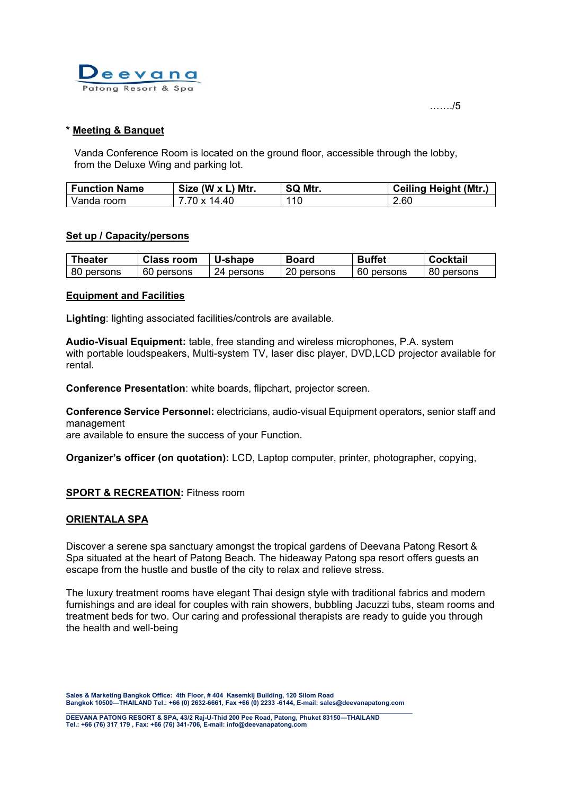

……./5

# **\* Meeting & Banquet**

Vanda Conference Room is located on the ground floor, accessible through the lobby, from the Deluxe Wing and parking lot.

| <b>Function Name</b> | Size (W x L) Mtr. | SQ Mtr. | <b>Ceiling Height (Mtr.)</b> |
|----------------------|-------------------|---------|------------------------------|
| Vanda room           | 7.70 x 14.40      | 110     | 2.60                         |

# **Set up / Capacity/persons**

| Theater    | <b>Class room</b> | <b>U-shape</b> | <b>Board</b> | <b>Buffet</b> | Cocktail   |
|------------|-------------------|----------------|--------------|---------------|------------|
| 80 persons | 60 persons        | 24 persons     | 20 persons   | 60 persons    | 80 persons |

### **Equipment and Facilities**

**Lighting**: lighting associated facilities/controls are available.

**Audio-Visual Equipment:** table, free standing and wireless microphones, P.A. system with portable loudspeakers, Multi-system TV, laser disc player, DVD,LCD projector available for rental.

**Conference Presentation**: white boards, flipchart, projector screen.

**Conference Service Personnel:** electricians, audio-visual Equipment operators, senior staff and management

are available to ensure the success of your Function.

**Organizer's officer (on quotation):** LCD, Laptop computer, printer, photographer, copying,

# **SPORT & RECREATION: Fitness room**

# **ORIENTALA SPA**

Discover a serene spa sanctuary amongst the tropical gardens of Deevana Patong Resort & Spa situated at the heart of Patong Beach. The hideaway Patong spa resort offers guests an escape from the hustle and bustle of the city to relax and relieve stress.

The luxury treatment rooms have elegant Thai design style with traditional fabrics and modern furnishings and are ideal for couples with rain showers, bubbling Jacuzzi tubs, steam rooms and treatment beds for two. Our caring and professional therapists are ready to guide you through the health and well-being

**Sales & Marketing Bangkok Office: 4th Floor, # 404 Kasemkij Building, 120 Silom Road Bangkok 10500—THAILAND Tel.: +66 (0) 2632-6661, Fax +66 (0) 2233 -6144, E-mail: sales@deevanapatong.com**